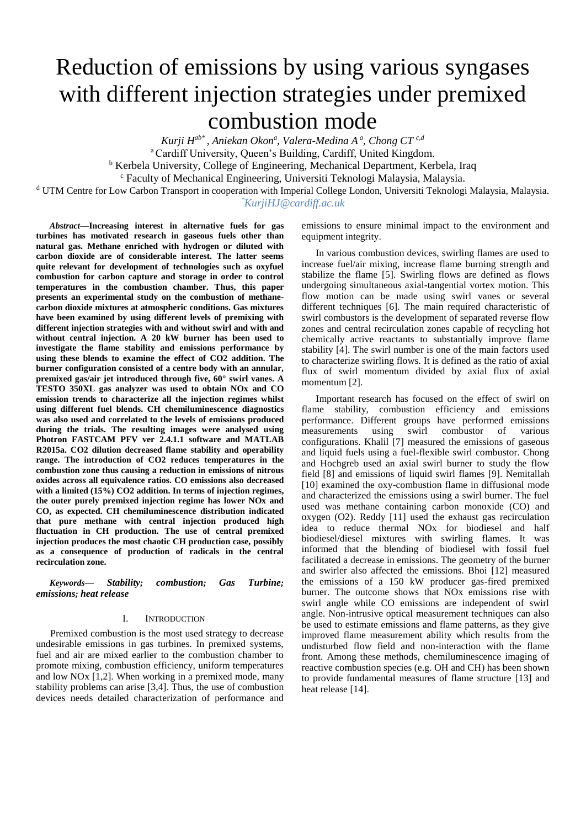# Reduction of emissions by using various syngases with different injection strategies under premixed combustion mode

*Kurji Hab\* , Aniekan Okon<sup>a</sup> , Valera-Medina A<sup>a</sup> , Chong CT c,d* <sup>a</sup> Cardiff University, Queen's Building, Cardiff, United Kingdom. <sup>b</sup> Kerbela University, College of Engineering, Mechanical Department, Kerbela, Iraq <sup>c</sup> Faculty of Mechanical Engineering, Universiti Teknologi Malaysia, Malaysia.

<sup>d</sup> UTM Centre for Low Carbon Transport in cooperation with Imperial College London, Universiti Teknologi Malaysia, Malaysia. *\*KurjiHJ@cardiff.ac.uk*

*Abstract***—Increasing interest in alternative fuels for gas turbines has motivated research in gaseous fuels other than natural gas. Methane enriched with hydrogen or diluted with carbon dioxide are of considerable interest. The latter seems quite relevant for development of technologies such as oxyfuel combustion for carbon capture and storage in order to control temperatures in the combustion chamber. Thus, this paper presents an experimental study on the combustion of methanecarbon dioxide mixtures at atmospheric conditions. Gas mixtures have been examined by using different levels of premixing with different injection strategies with and without swirl and with and without central injection. A 20 kW burner has been used to investigate the flame stability and emissions performance by using these blends to examine the effect of CO2 addition. The burner configuration consisted of a centre body with an annular, premixed gas/air jet introduced through five, 60° swirl vanes. A TESTO 350XL gas analyzer was used to obtain NOx and CO emission trends to characterize all the injection regimes whilst using different fuel blends. CH chemiluminescence diagnostics was also used and correlated to the levels of emissions produced during the trials. The resulting images were analysed using Photron FASTCAM PFV ver 2.4.1.1 software and MATLAB R2015a. CO2 dilution decreased flame stability and operability range. The introduction of CO2 reduces temperatures in the combustion zone thus causing a reduction in emissions of nitrous oxides across all equivalence ratios. CO emissions also decreased with a limited (15%) CO2 addition. In terms of injection regimes, the outer purely premixed injection regime has lower NOx and CO, as expected. CH chemiluminescence distribution indicated that pure methane with central injection produced high fluctuation in CH production. The use of central premixed injection produces the most chaotic CH production case, possibly as a consequence of production of radicals in the central recirculation zone.**

*Keywords— Stability; combustion; Gas Turbine; emissions; heat release*

# I. INTRODUCTION

Premixed combustion is the most used strategy to decrease undesirable emissions in gas turbines. In premixed systems, fuel and air are mixed earlier to the combustion chamber to promote mixing, combustion efficiency, uniform temperatures and low NOx [1,2]. When working in a premixed mode, many stability problems can arise [3,4]. Thus, the use of combustion devices needs detailed characterization of performance and emissions to ensure minimal impact to the environment and equipment integrity.

In various combustion devices, swirling flames are used to increase fuel/air mixing, increase flame burning strength and stabilize the flame [5]. Swirling flows are defined as flows undergoing simultaneous axial-tangential vortex motion. This flow motion can be made using swirl vanes or several different techniques [6]. The main required characteristic of swirl combustors is the development of separated reverse flow zones and central recirculation zones capable of recycling hot chemically active reactants to substantially improve flame stability [4]. The swirl number is one of the main factors used to characterize swirling flows. It is defined as the ratio of axial flux of swirl momentum divided by axial flux of axial momentum [2].

Important research has focused on the effect of swirl on flame stability, combustion efficiency and emissions performance. Different groups have performed emissions measurements using swirl combustor of various configurations. Khalil [7] measured the emissions of gaseous and liquid fuels using a fuel-flexible swirl combustor. Chong and Hochgreb used an axial swirl burner to study the flow field [8] and emissions of liquid swirl flames [9]. Nemitallah [10] examined the oxy-combustion flame in diffusional mode and characterized the emissions using a swirl burner. The fuel used was methane containing carbon monoxide (CO) and oxygen (O2). Reddy [11] used the exhaust gas recirculation idea to reduce thermal NOx for biodiesel and half biodiesel/diesel mixtures with swirling flames. It was informed that the blending of biodiesel with fossil fuel facilitated a decrease in emissions. The geometry of the burner and swirler also affected the emissions. Bhoi [12] measured the emissions of a 150 kW producer gas-fired premixed burner. The outcome shows that NOx emissions rise with swirl angle while CO emissions are independent of swirl angle. Non-intrusive optical measurement techniques can also be used to estimate emissions and flame patterns, as they give improved flame measurement ability which results from the undisturbed flow field and non-interaction with the flame front. Among these methods, chemiluminescence imaging of reactive combustion species (e.g. OH and CH) has been shown to provide fundamental measures of flame structure [13] and heat release [14].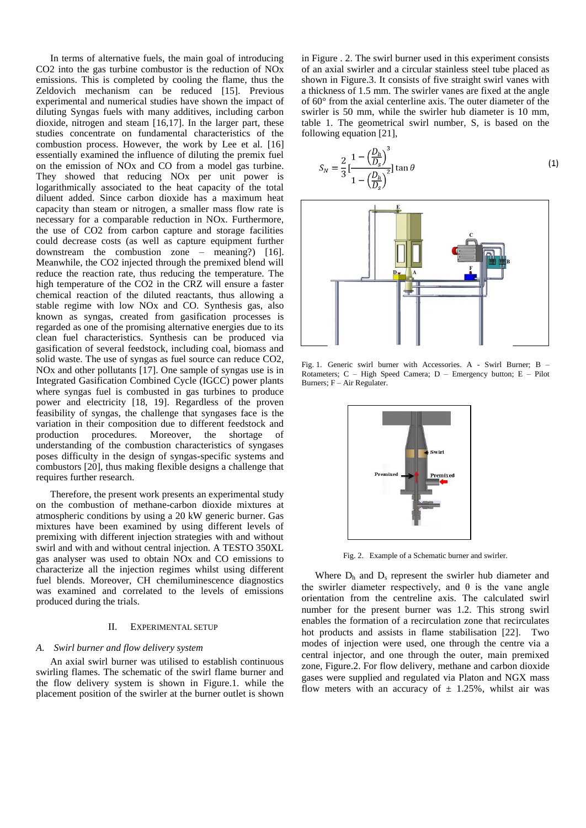In terms of alternative fuels, the main goal of introducing CO2 into the gas turbine combustor is the reduction of NOx emissions. This is completed by cooling the flame, thus the Zeldovich mechanism can be reduced [15]. Previous experimental and numerical studies have shown the impact of diluting Syngas fuels with many additives, including carbon dioxide, nitrogen and steam [16,17]. In the larger part, these studies concentrate on fundamental characteristics of the combustion process. However, the work by Lee et al. [16] essentially examined the influence of diluting the premix fuel on the emission of NOx and CO from a model gas turbine. They showed that reducing NOx per unit power is logarithmically associated to the heat capacity of the total diluent added. Since carbon dioxide has a maximum heat capacity than steam or nitrogen, a smaller mass flow rate is necessary for a comparable reduction in NOx. Furthermore, the use of CO2 from carbon capture and storage facilities could decrease costs (as well as capture equipment further downstream the combustion zone – meaning?) [16]. Meanwhile, the CO2 injected through the premixed blend will reduce the reaction rate, thus reducing the temperature. The high temperature of the CO2 in the CRZ will ensure a faster chemical reaction of the diluted reactants, thus allowing a stable regime with low NOx and CO. Synthesis gas, also known as syngas, created from gasification processes is regarded as one of the promising alternative energies due to its clean fuel characteristics. Synthesis can be produced via gasification of several feedstock, including coal, biomass and solid waste. The use of syngas as fuel source can reduce CO2, NOx and other pollutants [17]. One sample of syngas use is in Integrated Gasification Combined Cycle (IGCC) power plants where syngas fuel is combusted in gas turbines to produce power and electricity [18, 19]. Regardless of the proven feasibility of syngas, the challenge that syngases face is the variation in their composition due to different feedstock and production procedures. Moreover, the shortage of understanding of the combustion characteristics of syngases poses difficulty in the design of syngas-specific systems and combustors [20], thus making flexible designs a challenge that requires further research.

Therefore, the present work presents an experimental study on the combustion of methane-carbon dioxide mixtures at atmospheric conditions by using a 20 kW generic burner. Gas mixtures have been examined by using different levels of premixing with different injection strategies with and without swirl and with and without central injection. A TESTO 350XL gas analyser was used to obtain NOx and CO emissions to characterize all the injection regimes whilst using different fuel blends. Moreover, CH chemiluminescence diagnostics was examined and correlated to the levels of emissions produced during the trials.

#### II. EXPERIMENTAL SETUP

## *A. Swirl burner and flow delivery system*

An axial swirl burner was utilised to establish continuous swirling flames. The schematic of the swirl flame burner and the flow delivery system is shown in Figure.1. while the placement position of the swirler at the burner outlet is shown in Figure . 2. The swirl burner used in this experiment consists of an axial swirler and a circular stainless steel tube placed as shown in Figure.3. It consists of five straight swirl vanes with a thickness of 1.5 mm. The swirler vanes are fixed at the angle of 60° from the axial centerline axis. The outer diameter of the swirler is 50 mm, while the swirler hub diameter is 10 mm, table 1. The geometrical swirl number, S, is based on the following equation [21],

$$
S_N = \frac{2}{3} \left[ \frac{1 - \left( \frac{D_h}{D_s} \right)^3}{1 - \left( \frac{D_h}{D_s} \right)^2} \right] \tan \theta \tag{1}
$$



Fig. 1. Generic swirl burner with Accessories. A - Swirl Burner; B – Rotameters; C – High Speed Camera; D – Emergency button; E – Pilot Burners; F – Air Regulater.



Fig. 2. Example of a Schematic burner and swirler.

Where  $D_h$  and  $D_s$  represent the swirler hub diameter and the swirler diameter respectively, and  $\theta$  is the vane angle orientation from the centreline axis. The calculated swirl number for the present burner was 1.2. This strong swirl enables the formation of a recirculation zone that recirculates hot products and assists in flame stabilisation [22]. Two modes of injection were used, one through the centre via a central injector, and one through the outer, main premixed zone, Figure.2. For flow delivery, methane and carbon dioxide gases were supplied and regulated via Platon and NGX mass flow meters with an accuracy of  $\pm$  1.25%, whilst air was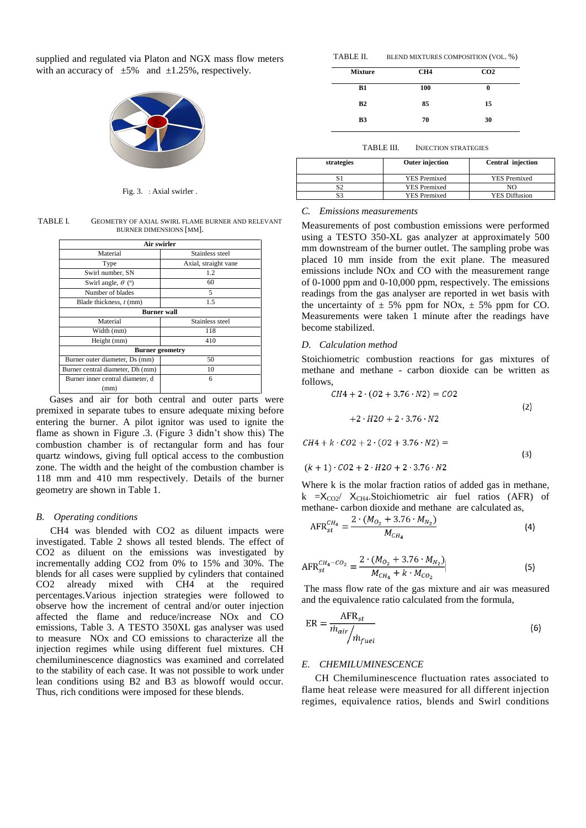supplied and regulated via Platon and NGX mass flow meters with an accuracy of  $\pm 5\%$  and  $\pm 1.25\%$ , respectively.



Fig. 3. : Axial swirler .

TABLE I. GEOMETRY OF AXIAL SWIRL FLAME BURNER AND RELEVANT BURNER DIMENSIONS [MM].

| Air swirler                         |                      |  |  |  |
|-------------------------------------|----------------------|--|--|--|
| Material                            | Stainless steel      |  |  |  |
| Type                                | Axial, straight vane |  |  |  |
| Swirl number, SN                    | 1.2                  |  |  |  |
| Swirl angle, $\theta$ ( $\degree$ ) | 60                   |  |  |  |
| Number of blades                    | 5                    |  |  |  |
| Blade thickness, t (mm)             | 1.5                  |  |  |  |
| <b>Burner</b> wall                  |                      |  |  |  |
| Material                            | Stainless steel      |  |  |  |
| Width (mm)                          | 118                  |  |  |  |
| Height (mm)                         | 410                  |  |  |  |
| <b>Burner</b> geometry              |                      |  |  |  |
| Burner outer diameter, Ds (mm)      | 50                   |  |  |  |
| Burner central diameter, Dh (mm)    | 10                   |  |  |  |
| Burner inner central diameter, d    | 6                    |  |  |  |
| (mm)                                |                      |  |  |  |

Gases and air for both central and outer parts were premixed in separate tubes to ensure adequate mixing before entering the burner. A pilot ignitor was used to ignite the flame as shown in Figure .3. (Figure 3 didn't show this) The combustion chamber is of rectangular form and has four quartz windows, giving full optical access to the combustion zone. The width and the height of the combustion chamber is 118 mm and 410 mm respectively. Details of the burner geometry are shown in Table 1.

## *B. Operating conditions*

CH4 was blended with CO2 as diluent impacts were investigated. Table 2 shows all tested blends. The effect of CO2 as diluent on the emissions was investigated by incrementally adding CO2 from 0% to 15% and 30%. The blends for all cases were supplied by cylinders that contained CO2 already mixed with CH4 at the required percentages.Various injection strategies were followed to observe how the increment of central and/or outer injection affected the flame and reduce/increase NOx and CO emissions, Table 3. A TESTO 350XL gas analyser was used to measure NOx and CO emissions to characterize all the injection regimes while using different fuel mixtures. CH chemiluminescence diagnostics was examined and correlated to the stability of each case. It was not possible to work under lean conditions using B2 and B3 as blowoff would occur. Thus, rich conditions were imposed for these blends.

| TABLE II. | BLEND MIXTURES COMPOSITION (VOL. %) |  |
|-----------|-------------------------------------|--|
|-----------|-------------------------------------|--|

| <b>Mixture</b> | CH <sub>4</sub> | CO <sub>2</sub> |
|----------------|-----------------|-----------------|
| <b>B1</b>      | 100             | 0               |
| B2             | 85              | 15              |
| <b>B3</b>      | 70              | 30              |
|                |                 |                 |

TABLE III. INJECTION STRATEGIES

| strategies | <b>Outer injection</b> | <b>Central injection</b> |
|------------|------------------------|--------------------------|
|            | <b>YES</b> Premixed    | <b>YES</b> Premixed      |
| \$2        | <b>YES</b> Premixed    | NΟ                       |
| S3         | <b>YES Premixed</b>    | <b>YES Diffusion</b>     |

# *C. Emissions measurements*

Measurements of post combustion emissions were performed using a TESTO 350-XL gas analyzer at approximately 500 mm downstream of the burner outlet. The sampling probe was placed 10 mm inside from the exit plane. The measured emissions include NOx and CO with the measurement range of 0-1000 ppm and 0-10,000 ppm, respectively. The emissions readings from the gas analyser are reported in wet basis with the uncertainty of  $\pm$  5% ppm for NOx,  $\pm$  5% ppm for CO. Measurements were taken 1 minute after the readings have become stabilized.

# *D. Calculation method*

Stoichiometric combustion reactions for gas mixtures of methane and methane - carbon dioxide can be written as follows,

$$
CH4 + 2 \cdot (02 + 3.76 \cdot N2) = CO2
$$
  
+2 \cdot H2O + 2 \cdot 3.76 \cdot N2 (2)

 $CH4 + k \cdot CO2 + 2 \cdot (02 + 3.76 \cdot N2) =$ 

$$
(k + 1) \cdot CO2 + 2 \cdot H2O + 2 \cdot 3.76 \cdot N2
$$

Where k is the molar fraction ratios of added gas in methane, k  $=X_{CO2}$   $X_{CH4}$ . Stoichiometric air fuel ratios (AFR) of methane- carbon dioxide and methane are calculated as,

 $(3)$ 

$$
AFR_{st}^{CH_4} = \frac{2 \cdot (M_{O_2} + 3.76 \cdot M_{N_2})}{M_{CH_4}}
$$
\n(4)

$$
AFR_{st}^{CH_4-CO_2} = \frac{2 \cdot (M_{O_2} + 3.76 \cdot M_{N_2})}{M_{CH_4} + k \cdot M_{CO_2}} \tag{5}
$$

The mass flow rate of the gas mixture and air was measured and the equivalence ratio calculated from the formula,

$$
ER = \frac{AFR_{st}}{\dot{m}_{air}/\dot{m}_{fuel}}
$$
 (6)

# *E. CHEMILUMINESCENCE*

CH Chemiluminescence fluctuation rates associated to flame heat release were measured for all different injection regimes, equivalence ratios, blends and Swirl conditions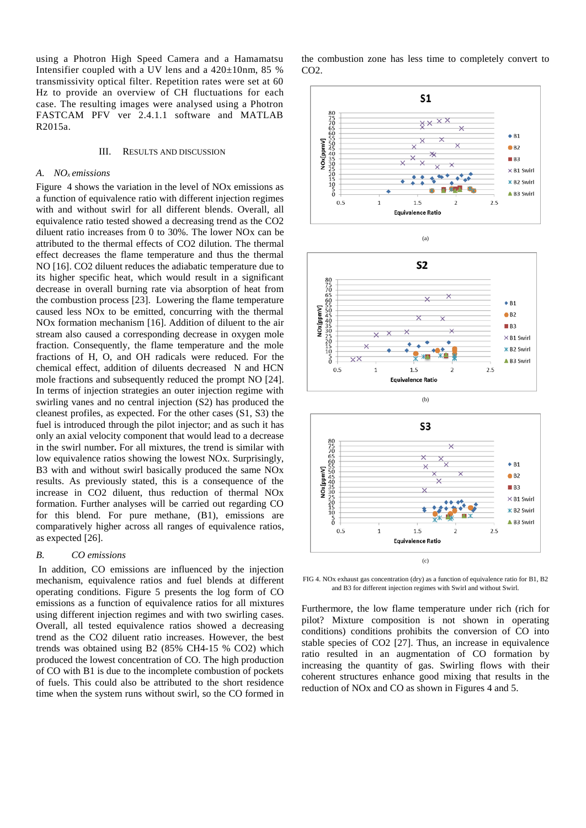using a Photron High Speed Camera and a Hamamatsu Intensifier coupled with a UV lens and a 420±10nm, 85 % transmissivity optical filter. Repetition rates were set at 60 Hz to provide an overview of CH fluctuations for each case. The resulting images were analysed using a Photron FASTCAM PFV ver 2.4.1.1 software and MATLAB R2015a.

#### III. RESULTS AND DISCUSSION

## *A. NOx emissions*

Figure 4 shows the variation in the level of NOx emissions as a function of equivalence ratio with different injection regimes with and without swirl for all different blends. Overall, all equivalence ratio tested showed a decreasing trend as the CO2 diluent ratio increases from 0 to 30%. The lower NOx can be attributed to the thermal effects of CO2 dilution. The thermal effect decreases the flame temperature and thus the thermal NO [16]. CO2 diluent reduces the adiabatic temperature due to its higher specific heat, which would result in a significant decrease in overall burning rate via absorption of heat from the combustion process [23]. Lowering the flame temperature caused less NOx to be emitted, concurring with the thermal NOx formation mechanism [16]. Addition of diluent to the air stream also caused a corresponding decrease in oxygen mole fraction. Consequently, the flame temperature and the mole fractions of H, O, and OH radicals were reduced. For the chemical effect, addition of diluents decreased N and HCN mole fractions and subsequently reduced the prompt NO [24]. In terms of injection strategies an outer injection regime with swirling vanes and no central injection (S2) has produced the cleanest profiles, as expected. For the other cases (S1, S3) the fuel is introduced through the pilot injector; and as such it has only an axial velocity component that would lead to a decrease in the swirl number**.** For all mixtures, the trend is similar with low equivalence ratios showing the lowest NOx. Surprisingly, B3 with and without swirl basically produced the same NOx results. As previously stated, this is a consequence of the increase in CO2 diluent, thus reduction of thermal NOx formation. Further analyses will be carried out regarding CO for this blend. For pure methane, (B1), emissions are comparatively higher across all ranges of equivalence ratios, as expected [26].

# *B. CO emissions*

In addition, CO emissions are influenced by the injection mechanism, equivalence ratios and fuel blends at different operating conditions. Figure 5 presents the log form of CO emissions as a function of equivalence ratios for all mixtures using different injection regimes and with two swirling cases. Overall, all tested equivalence ratios showed a decreasing trend as the CO2 diluent ratio increases. However, the best trends was obtained using B2 (85% CH4-15 % CO2) which produced the lowest concentration of CO. The high production of CO with B1 is due to the incomplete combustion of pockets of fuels. This could also be attributed to the short residence time when the system runs without swirl, so the CO formed in the combustion zone has less time to completely convert to  $CO<sub>2</sub>$ .







FIG 4. NOx exhaust gas concentration (dry) as a function of equivalence ratio for B1, B2 and B3 for different injection regimes with Swirl and without Swirl.

Furthermore, the low flame temperature under rich (rich for pilot? Mixture composition is not shown in operating conditions) conditions prohibits the conversion of CO into stable species of CO2 [27]. Thus, an increase in equivalence ratio resulted in an augmentation of CO formation by increasing the quantity of gas. Swirling flows with their coherent structures enhance good mixing that results in the reduction of NOx and CO as shown in Figures 4 and 5.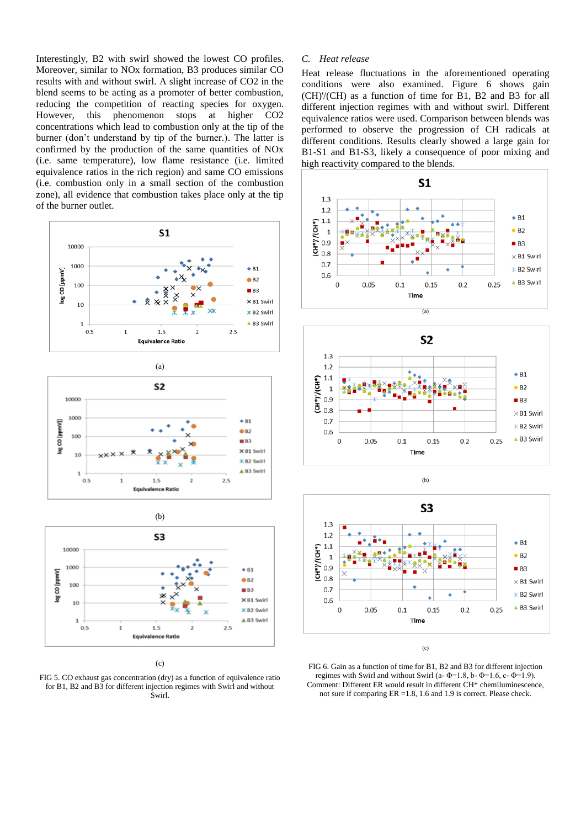Interestingly, B2 with swirl showed the lowest CO profiles. Moreover, similar to NOx formation, B3 produces similar CO results with and without swirl. A slight increase of CO2 in the blend seems to be acting as a promoter of better combustion, reducing the competition of reacting species for oxygen. However, this phenomenon stops at higher CO2 concentrations which lead to combustion only at the tip of the burner (don't understand by tip of the burner.). The latter is confirmed by the production of the same quantities of NOx (i.e. same temperature), low flame resistance (i.e. limited equivalence ratios in the rich region) and same CO emissions (i.e. combustion only in a small section of the combustion zone), all evidence that combustion takes place only at the tip of the burner outlet.







(c)

FIG 5. CO exhaust gas concentration (dry) as a function of equivalence ratio for B1, B2 and B3 for different injection regimes with Swirl and without Swirl.

# *C. Heat release*

Heat release fluctuations in the aforementioned operating conditions were also examined. Figure 6 shows gain (CH)'/(CH) as a function of time for B1, B2 and B3 for all different injection regimes with and without swirl. Different equivalence ratios were used. Comparison between blends was performed to observe the progression of CH radicals at different conditions. Results clearly showed a large gain for B1-S1 and B1-S3, likely a consequence of poor mixing and high reactivity compared to the blends.





(b)



(c)

FIG 6. Gain as a function of time for B1, B2 and B3 for different injection regimes with Swirl and without Swirl (a- $\Phi$ =1.8, b- $\Phi$ =1.6, c- $\Phi$ =1.9). Comment: Different ER would result in different CH\* chemiluminescence, not sure if comparing ER =1.8, 1.6 and 1.9 is correct. Please check.